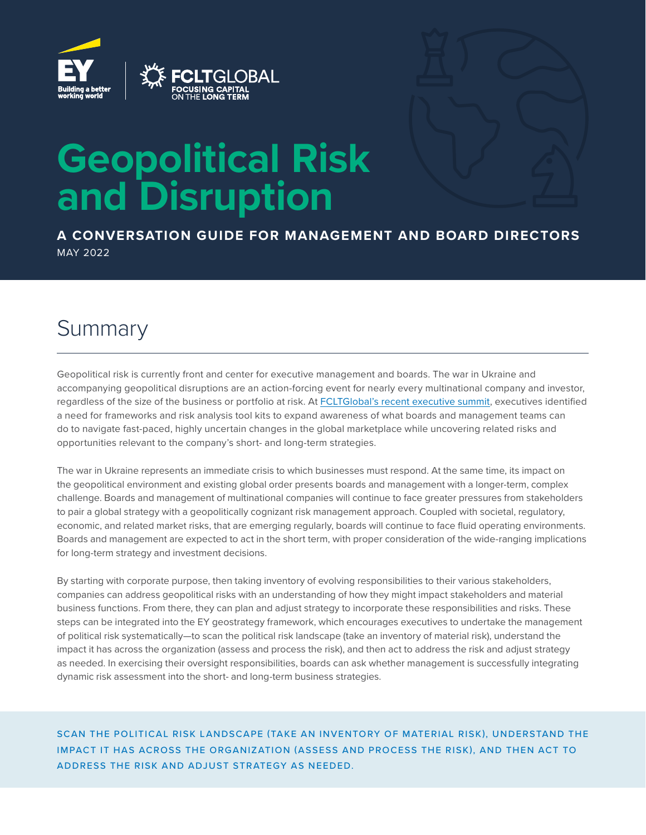





# **Geopolitical Risk and Disruption**

**A CONVERSATION GUIDE FOR MANAGEMENT AND BOARD DIRECTORS** MAY 2022

### **Summary**

Geopolitical risk is currently front and center for executive management and boards. The war in Ukraine and accompanying geopolitical disruptions are an action-forcing event for nearly every multinational company and investor, regardless of the size of the business or portfolio at risk. At [FCLTGlobal's recent executive summit,](https://www.fcltglobal.org/wp-content/uploads/FCLT-Summit-2022-Report.pdf) executives identified a need for frameworks and risk analysis tool kits to expand awareness of what boards and management teams can do to navigate fast-paced, highly uncertain changes in the global marketplace while uncovering related risks and opportunities relevant to the company's short- and long-term strategies.

The war in Ukraine represents an immediate crisis to which businesses must respond. At the same time, its impact on the geopolitical environment and existing global order presents boards and management with a longer-term, complex challenge. Boards and management of multinational companies will continue to face greater pressures from stakeholders to pair a global strategy with a geopolitically cognizant risk management approach. Coupled with societal, regulatory, economic, and related market risks, that are emerging regularly, boards will continue to face fluid operating environments. Boards and management are expected to act in the short term, with proper consideration of the wide-ranging implications for long-term strategy and investment decisions.

By starting with corporate purpose, then taking inventory of evolving responsibilities to their various stakeholders, companies can address geopolitical risks with an understanding of how they might impact stakeholders and material business functions. From there, they can plan and adjust strategy to incorporate these responsibilities and risks. These steps can be integrated into the EY geostrategy framework, which encourages executives to undertake the management of political risk systematically—to scan the political risk landscape (take an inventory of material risk), understand the impact it has across the organization (assess and process the risk), and then act to address the risk and adjust strategy as needed. In exercising their oversight responsibilities, boards can ask whether management is successfully integrating dynamic risk assessment into the short- and long-term business strategies.

SCAN THE POLITICAL RISK LANDSCAPE (TAKE AN INVENTORY OF MATERIAL RISK), UNDERSTAND THE IMPACT IT HAS ACROSS THE ORGANIZATION (ASSESS AND PROCESS THE RISK), AND THEN ACT TO ADDRESS THE RISK AND ADJUST STRATEGY AS NEEDED.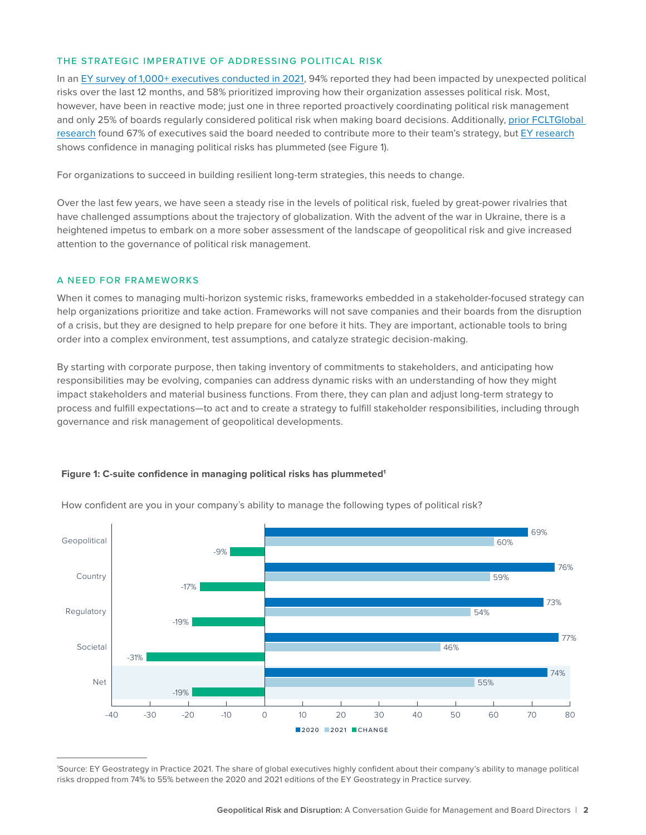#### THE STRATEGIC IMPERATIVE OF ADDRESSING POLITICAL RISK

In an [EY survey of 1,000+ executives conducted in 2021](https://www.ey.com/en_sg/geostrategy/the-ceo-imperative-are-you-making-political-risk-a-strategic-priority), 94% reported they had been impacted by unexpected political risks over the last 12 months, and 58% prioritized improving how their organization assesses political risk. Most, however, have been in reactive mode; just one in three reported proactively coordinating political risk management and only 25% of boards regularly considered political risk when making board decisions. Additionally, [prior FCLTGlobal](https://www.fcltglobal.org/wp-content/uploads/long-term-habits-of-highly-effective-corporate-boards.pdf)  [research](https://www.fcltglobal.org/wp-content/uploads/long-term-habits-of-highly-effective-corporate-boards.pdf) found 67% of executives said the board needed to contribute more to their team's strategy, but [EY research](https://www.ey.com/en_sg/geostrategy/the-ceo-imperative-are-you-making-political-risk-a-strategic-priority) shows confidence in managing political risks has plummeted (see Figure 1).

For organizations to succeed in building resilient long-term strategies, this needs to change.

Over the last few years, we have seen a steady rise in the levels of political risk, fueled by great-power rivalries that have challenged assumptions about the trajectory of globalization. With the advent of the war in Ukraine, there is a heightened impetus to embark on a more sober assessment of the landscape of geopolitical risk and give increased attention to the governance of political risk management.

#### A NEED FOR FRAMEWORKS

When it comes to managing multi-horizon systemic risks, frameworks embedded in a stakeholder-focused strategy can help organizations prioritize and take action. Frameworks will not save companies and their boards from the disruption of a crisis, but they are designed to help prepare for one before it hits. They are important, actionable tools to bring order into a complex environment, test assumptions, and catalyze strategic decision-making.

By starting with corporate purpose, then taking inventory of commitments to stakeholders, and anticipating how responsibilities may be evolving, companies can address dynamic risks with an understanding of how they might impact stakeholders and material business functions. From there, they can plan and adjust long-term strategy to process and fulfill expectations—to act and to create a strategy to fulfill stakeholder responsibilities, including through governance and risk management of geopolitical developments.



How confident are you in your company's ability to manage the following types of political risk?

**Figure 1: C-suite confidence in managing political risks has plummeted1**

<sup>1</sup> Source: EY Geostrategy in Practice 2021. The share of global executives highly confident about their company's ability to manage political risks dropped from 74% to 55% between the 2020 and 2021 editions of the EY Geostrategy in Practice survey.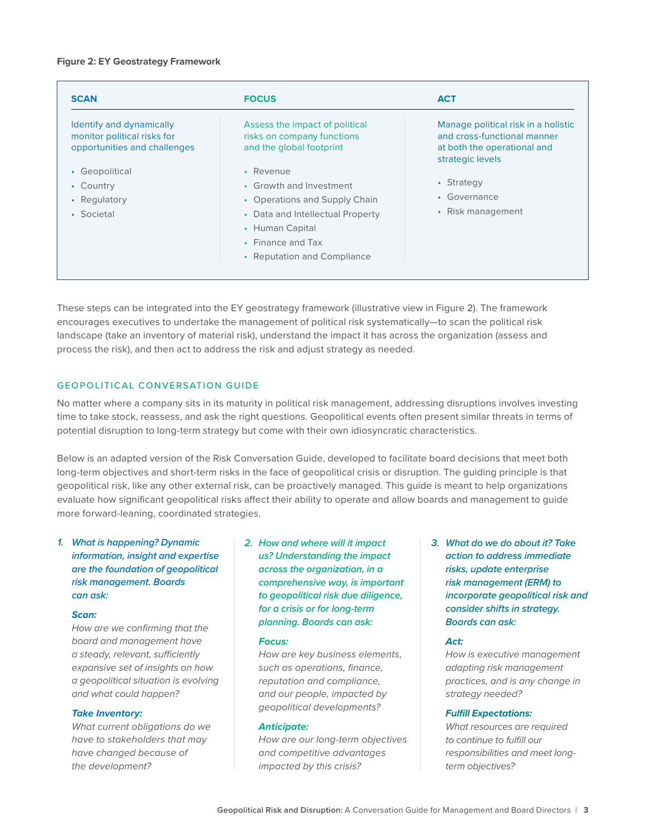| <b>SCAN</b>                                                                             | <b>FOCUS</b>                                                                                                                                                                           | <b>ACT</b>                                                                                                            |
|-----------------------------------------------------------------------------------------|----------------------------------------------------------------------------------------------------------------------------------------------------------------------------------------|-----------------------------------------------------------------------------------------------------------------------|
| Identify and dynamically<br>monitor political risks for<br>opportunities and challenges | Assess the impact of political<br>risks on company functions<br>and the global footprint                                                                                               | Manage political risk in a holistic<br>and cross-functional manner<br>at both the operational and<br>strategic levels |
| • Geopolitical<br>• Country<br>• Regulatory<br>• Societal                               | • Revenue<br>• Growth and Investment<br>• Operations and Supply Chain<br>• Data and Intellectual Property<br>• Human Capital<br>$\cdot$ Finance and Tax<br>• Reputation and Compliance | • Strategy<br>• Governance<br>• Risk management                                                                       |

These steps can be integrated into the EY geostrategy framework (illustrative view in Figure 2). The framework encourages executives to undertake the management of political risk systematically—to scan the political risk landscape (take an inventory of material risk), understand the impact it has across the organization (assess and process the risk), and then act to address the risk and adjust strategy as needed.

#### GEOPOLITICAL CONVERSATION GUIDE

No matter where a company sits in its maturity in political risk management, addressing disruptions involves investing time to take stock, reassess, and ask the right questions. Geopolitical events often present similar threats in terms of potential disruption to long-term strategy but come with their own idiosyncratic characteristics.

Below is an adapted version of the Risk Conversation Guide, developed to facilitate board decisions that meet both long-term objectives and short-term risks in the face of geopolitical crisis or disruption. The guiding principle is that geopolitical risk, like any other external risk, can be proactively managed. This guide is meant to help organizations evaluate how significant geopolitical risks affect their ability to operate and allow boards and management to guide more forward-leaning, coordinated strategies.

#### *1. What is happening? Dynamic information, insight and expertise are the foundation of geopolitical risk management. Boards can ask:*

#### *Scan:*

*How are we confirming that the board and management have a steady, relevant, sufficiently expansive set of insights on how a geopolitical situation is evolving and what could happen?*

#### *Take Inventory:*

*What current obligations do we have to stakeholders that may have changed because of the development?*

*2. How and where will it impact us? Understanding the impact across the organization, in a comprehensive way, is important to geopolitical risk due diligence, for a crisis or for long-term planning. Boards can ask:* 

#### *Focus:*

*How are key business elements, such as operations, finance, reputation and compliance, and our people, impacted by geopolitical developments?* 

#### *Anticipate:*

*How are our long-term objectives and competitive advantages impacted by this crisis?*

*3. What do we do about it? Take action to address immediate risks, update enterprise risk management (ERM) to incorporate geopolitical risk and consider shifts in strategy. Boards can ask:* 

#### *Act:*

*How is executive management adapting risk management practices, and is any change in strategy needed?* 

#### *Fulfill Expectations:*

*What resources are required to continue to fulfill our responsibilities and meet longterm objectives?*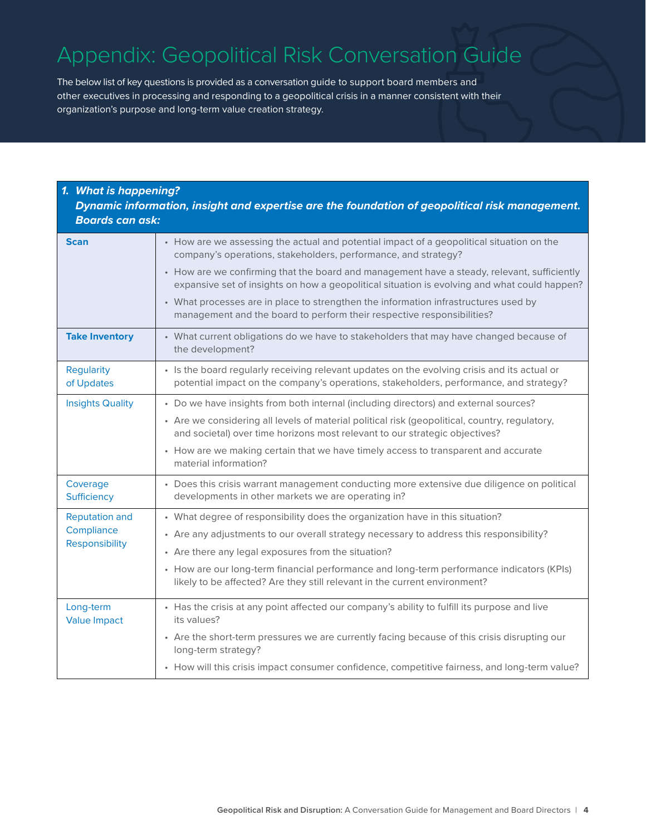## Appendix: Geopolitical Risk Conversation Guide

The below list of key questions is provided as a conversation guide to support board members and other executives in processing and responding to a geopolitical crisis in a manner consistent with their organization's purpose and long-term value creation strategy.

| 1. What is happening?<br>Dynamic information, insight and expertise are the foundation of geopolitical risk management.<br><b>Boards can ask:</b> |                                                                                                                                                                                             |
|---------------------------------------------------------------------------------------------------------------------------------------------------|---------------------------------------------------------------------------------------------------------------------------------------------------------------------------------------------|
| <b>Scan</b>                                                                                                                                       | • How are we assessing the actual and potential impact of a geopolitical situation on the<br>company's operations, stakeholders, performance, and strategy?                                 |
|                                                                                                                                                   | • How are we confirming that the board and management have a steady, relevant, sufficiently<br>expansive set of insights on how a geopolitical situation is evolving and what could happen? |
|                                                                                                                                                   | • What processes are in place to strengthen the information infrastructures used by<br>management and the board to perform their respective responsibilities?                               |
| <b>Take Inventory</b>                                                                                                                             | • What current obligations do we have to stakeholders that may have changed because of<br>the development?                                                                                  |
| Regularity<br>of Updates                                                                                                                          | • Is the board regularly receiving relevant updates on the evolving crisis and its actual or<br>potential impact on the company's operations, stakeholders, performance, and strategy?      |
| <b>Insights Quality</b>                                                                                                                           | • Do we have insights from both internal (including directors) and external sources?                                                                                                        |
|                                                                                                                                                   | • Are we considering all levels of material political risk (geopolitical, country, regulatory,<br>and societal) over time horizons most relevant to our strategic objectives?               |
|                                                                                                                                                   | • How are we making certain that we have timely access to transparent and accurate<br>material information?                                                                                 |
| Coverage<br>Sufficiency                                                                                                                           | • Does this crisis warrant management conducting more extensive due diligence on political<br>developments in other markets we are operating in?                                            |
| <b>Reputation and</b><br>Compliance<br>Responsibility                                                                                             | • What degree of responsibility does the organization have in this situation?                                                                                                               |
|                                                                                                                                                   | • Are any adjustments to our overall strategy necessary to address this responsibility?                                                                                                     |
|                                                                                                                                                   | • Are there any legal exposures from the situation?                                                                                                                                         |
|                                                                                                                                                   | • How are our long-term financial performance and long-term performance indicators (KPIs)<br>likely to be affected? Are they still relevant in the current environment?                     |
| Long-term<br><b>Value Impact</b>                                                                                                                  | • Has the crisis at any point affected our company's ability to fulfill its purpose and live<br>its values?                                                                                 |
|                                                                                                                                                   | • Are the short-term pressures we are currently facing because of this crisis disrupting our<br>long-term strategy?                                                                         |
|                                                                                                                                                   | • How will this crisis impact consumer confidence, competitive fairness, and long-term value?                                                                                               |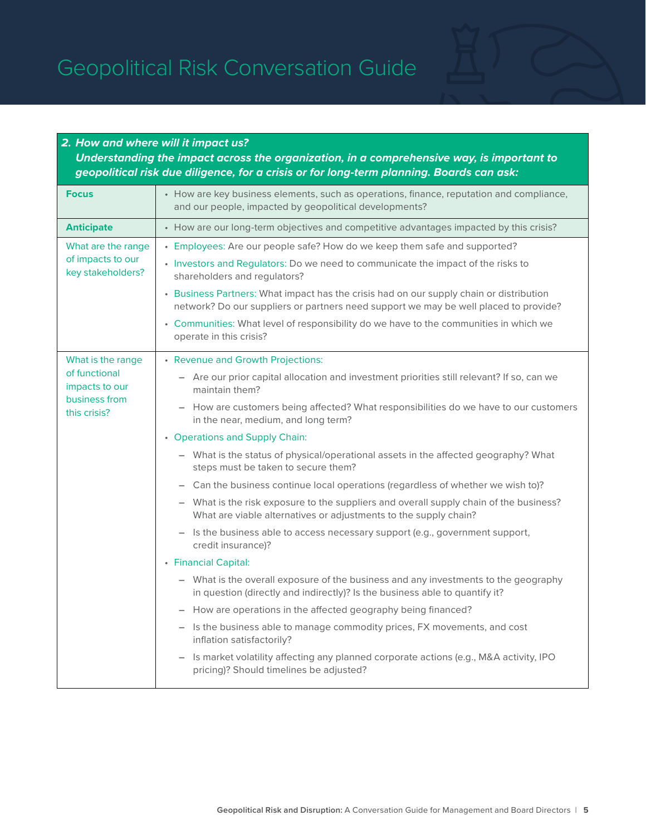

### *2. How and where will it impact us?*

*Understanding the impact across the organization, in a comprehensive way, is important to geopolitical risk due diligence, for a crisis or for long-term planning. Boards can ask:* 

| <b>Focus</b>                                                                          | • How are key business elements, such as operations, finance, reputation and compliance,<br>and our people, impacted by geopolitical developments?                                                                                                                                                                                                                                                                                                                                                                                                                                                                                                                                                                                                                                                                                                                                                                                                                                                                                                                                                                                                                                                                                                                                                                         |
|---------------------------------------------------------------------------------------|----------------------------------------------------------------------------------------------------------------------------------------------------------------------------------------------------------------------------------------------------------------------------------------------------------------------------------------------------------------------------------------------------------------------------------------------------------------------------------------------------------------------------------------------------------------------------------------------------------------------------------------------------------------------------------------------------------------------------------------------------------------------------------------------------------------------------------------------------------------------------------------------------------------------------------------------------------------------------------------------------------------------------------------------------------------------------------------------------------------------------------------------------------------------------------------------------------------------------------------------------------------------------------------------------------------------------|
| <b>Anticipate</b>                                                                     | • How are our long-term objectives and competitive advantages impacted by this crisis?                                                                                                                                                                                                                                                                                                                                                                                                                                                                                                                                                                                                                                                                                                                                                                                                                                                                                                                                                                                                                                                                                                                                                                                                                                     |
| What are the range<br>of impacts to our<br>key stakeholders?                          | • Employees: Are our people safe? How do we keep them safe and supported?<br>• Investors and Regulators: Do we need to communicate the impact of the risks to<br>shareholders and regulators?<br>• Business Partners: What impact has the crisis had on our supply chain or distribution<br>network? Do our suppliers or partners need support we may be well placed to provide?<br>• Communities: What level of responsibility do we have to the communities in which we<br>operate in this crisis?                                                                                                                                                                                                                                                                                                                                                                                                                                                                                                                                                                                                                                                                                                                                                                                                                       |
| What is the range<br>of functional<br>impacts to our<br>business from<br>this crisis? | • Revenue and Growth Projections:<br>- Are our prior capital allocation and investment priorities still relevant? If so, can we<br>maintain them?<br>- How are customers being affected? What responsibilities do we have to our customers<br>in the near, medium, and long term?<br>• Operations and Supply Chain:<br>- What is the status of physical/operational assets in the affected geography? What<br>steps must be taken to secure them?<br>- Can the business continue local operations (regardless of whether we wish to)?<br>- What is the risk exposure to the suppliers and overall supply chain of the business?<br>What are viable alternatives or adjustments to the supply chain?<br>- Is the business able to access necessary support (e.g., government support,<br>credit insurance)?<br>• Financial Capital:<br>- What is the overall exposure of the business and any investments to the geography<br>in question (directly and indirectly)? Is the business able to quantify it?<br>- How are operations in the affected geography being financed?<br>- Is the business able to manage commodity prices, FX movements, and cost<br>inflation satisfactorily?<br>- Is market volatility affecting any planned corporate actions (e.g., M&A activity, IPO<br>pricing)? Should timelines be adjusted? |
|                                                                                       |                                                                                                                                                                                                                                                                                                                                                                                                                                                                                                                                                                                                                                                                                                                                                                                                                                                                                                                                                                                                                                                                                                                                                                                                                                                                                                                            |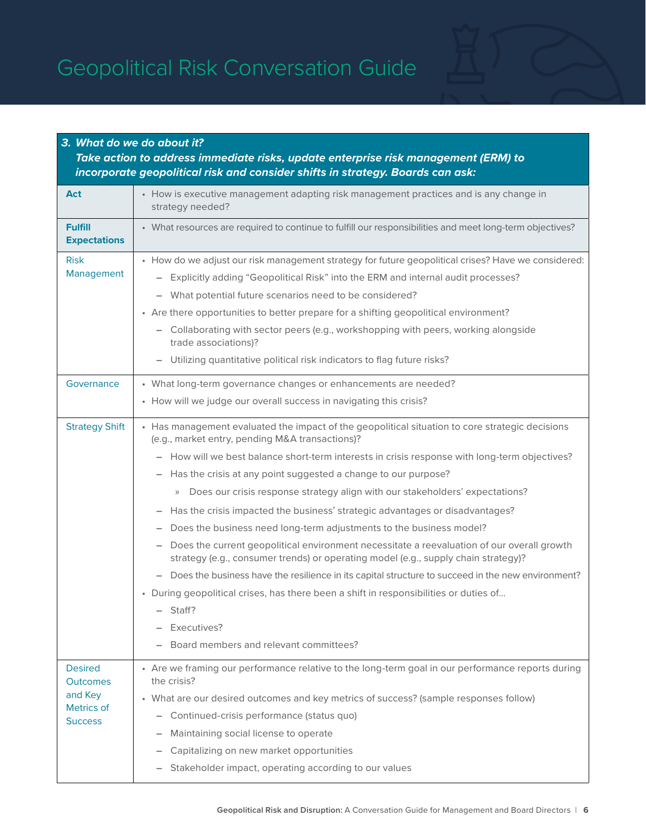## Geopolitical Risk Conversation Guide

| 3. What do we do about it?<br>Take action to address immediate risks, update enterprise risk management (ERM) to<br>incorporate geopolitical risk and consider shifts in strategy. Boards can ask: |                                                                                                                                                                                                                                                                                                                                                                                                                                                                                                                                                                                                                                                                                                                                                                                                                                                                                                                                                                                                                                                 |  |
|----------------------------------------------------------------------------------------------------------------------------------------------------------------------------------------------------|-------------------------------------------------------------------------------------------------------------------------------------------------------------------------------------------------------------------------------------------------------------------------------------------------------------------------------------------------------------------------------------------------------------------------------------------------------------------------------------------------------------------------------------------------------------------------------------------------------------------------------------------------------------------------------------------------------------------------------------------------------------------------------------------------------------------------------------------------------------------------------------------------------------------------------------------------------------------------------------------------------------------------------------------------|--|
| <b>Act</b>                                                                                                                                                                                         | • How is executive management adapting risk management practices and is any change in<br>strategy needed?                                                                                                                                                                                                                                                                                                                                                                                                                                                                                                                                                                                                                                                                                                                                                                                                                                                                                                                                       |  |
| <b>Fulfill</b><br><b>Expectations</b>                                                                                                                                                              | • What resources are required to continue to fulfill our responsibilities and meet long-term objectives?                                                                                                                                                                                                                                                                                                                                                                                                                                                                                                                                                                                                                                                                                                                                                                                                                                                                                                                                        |  |
| <b>Risk</b><br>Management                                                                                                                                                                          | • How do we adjust our risk management strategy for future geopolitical crises? Have we considered:<br>- Explicitly adding "Geopolitical Risk" into the ERM and internal audit processes?<br>- What potential future scenarios need to be considered?<br>• Are there opportunities to better prepare for a shifting geopolitical environment?<br>- Collaborating with sector peers (e.g., workshopping with peers, working alongside<br>trade associations)?<br>- Utilizing quantitative political risk indicators to flag future risks?                                                                                                                                                                                                                                                                                                                                                                                                                                                                                                        |  |
| Governance                                                                                                                                                                                         | • What long-term governance changes or enhancements are needed?<br>• How will we judge our overall success in navigating this crisis?                                                                                                                                                                                                                                                                                                                                                                                                                                                                                                                                                                                                                                                                                                                                                                                                                                                                                                           |  |
| <b>Strategy Shift</b>                                                                                                                                                                              | • Has management evaluated the impact of the geopolitical situation to core strategic decisions<br>(e.g., market entry, pending M&A transactions)?<br>- How will we best balance short-term interests in crisis response with long-term objectives?<br>- Has the crisis at any point suggested a change to our purpose?<br>Does our crisis response strategy align with our stakeholders' expectations?<br>$\rangle\!\rangle$<br>Has the crisis impacted the business' strategic advantages or disadvantages?<br>Does the business need long-term adjustments to the business model?<br>- Does the current geopolitical environment necessitate a reevaluation of our overall growth<br>strategy (e.g., consumer trends) or operating model (e.g., supply chain strategy)?<br>- Does the business have the resilience in its capital structure to succeed in the new environment?<br>· During geopolitical crises, has there been a shift in responsibilities or duties of<br>- Staff?<br>Executives?<br>Board members and relevant committees? |  |
| <b>Desired</b><br><b>Outcomes</b><br>and Key<br>Metrics of<br><b>Success</b>                                                                                                                       | • Are we framing our performance relative to the long-term goal in our performance reports during<br>the crisis?<br>• What are our desired outcomes and key metrics of success? (sample responses follow)<br>Continued-crisis performance (status quo)<br>Maintaining social license to operate<br>Capitalizing on new market opportunities<br>Stakeholder impact, operating according to our values                                                                                                                                                                                                                                                                                                                                                                                                                                                                                                                                                                                                                                            |  |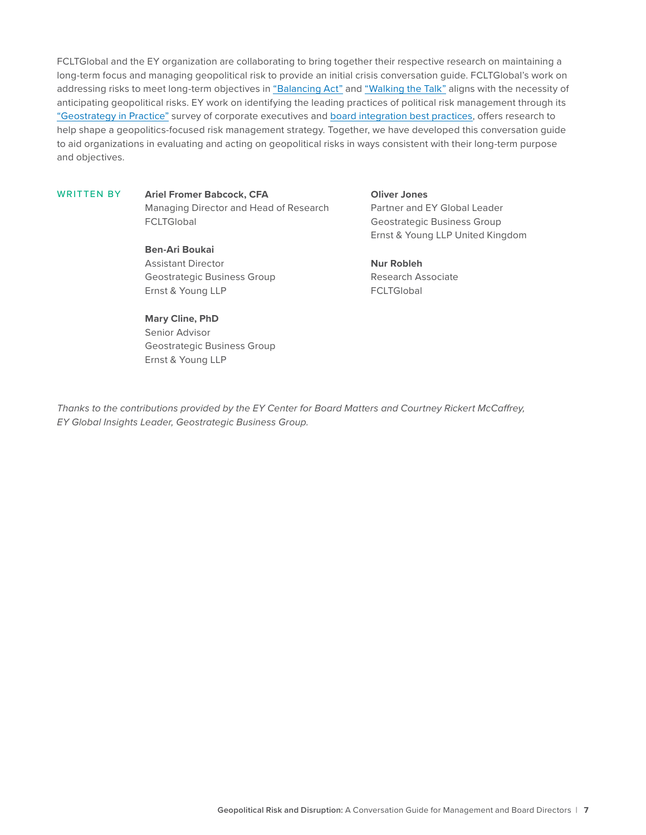FCLTGlobal and the EY organization are collaborating to bring together their respective research on maintaining a long-term focus and managing geopolitical risk to provide an initial crisis conversation guide. FCLTGlobal's work on addressing risks to meet long-term objectives in ["Balancing Act"](https://www.fcltglobal.org/wp-content/uploads/balancing-act-managing-risk-across-multiple-time-horizons.pdf) and ["Walking the Talk"](https://www.fcltglobal.org/wp-content/uploads/Walking-the-Talk-Multi-Stakeholder-Capitalism-in-Practice_FCLTGlobal.pdf) aligns with the necessity of anticipating geopolitical risks. EY work on identifying the leading practices of political risk management through its ["Geostrategy in Practice"](https://www.ey.com/en_sg/geostrategy/the-ceo-imperative-are-you-making-political-risk-a-strategic-priority) survey of corporate executives and [board integration best practices](https://www.ey.com/en_uk/board-matters/how-boards-can-better-integrate-political-risks-into-their-agenda), offers research to help shape a geopolitics-focused risk management strategy. Together, we have developed this conversation guide to aid organizations in evaluating and acting on geopolitical risks in ways consistent with their long-term purpose and objectives.

WRITTEN BY **Ariel Fromer Babcock, CFA** Managing Director and Head of Research **FCLTGlobal** 

> **Ben-Ari Boukai** Assistant Director Geostrategic Business Group Ernst & Young LLP

#### **Mary Cline, PhD**

Senior Advisor Geostrategic Business Group Ernst & Young LLP

**Oliver Jones** Partner and EY Global Leader Geostrategic Business Group Ernst & Young LLP United Kingdom

**Nur Robleh** Research Associate **FCLTGlobal** 

*Thanks to the contributions provided by the EY Center for Board Matters and Courtney Rickert McCaffrey, EY Global Insights Leader, Geostrategic Business Group.*